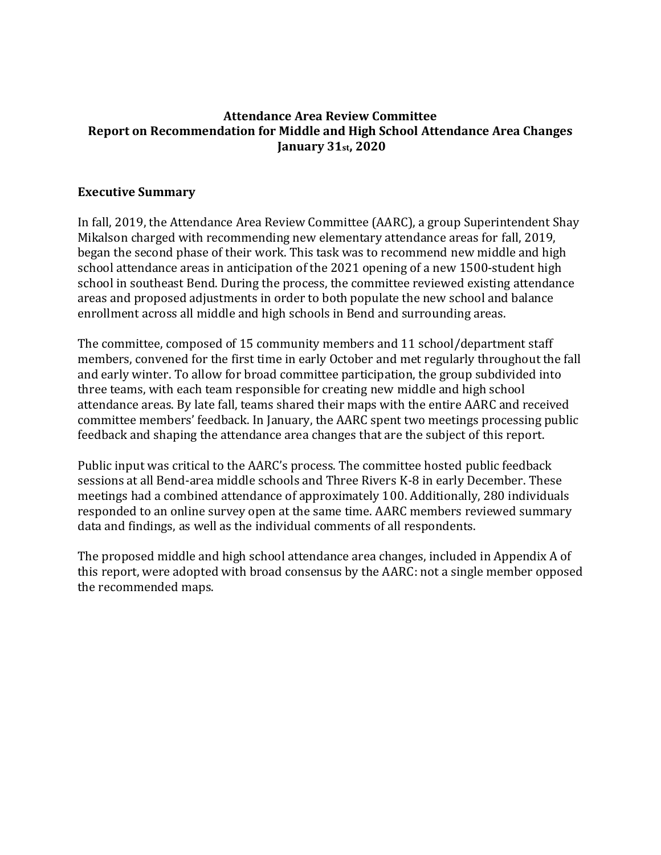## **Attendance Area Review Committee Report on Recommendation for Middle and High School Attendance Area Changes January 31st, 2020**

### **Executive Summary**

In fall, 2019, the Attendance Area Review Committee (AARC), a group Superintendent Shay Mikalson charged with recommending new elementary attendance areas for fall, 2019, began the second phase of their work. This task was to recommend new middle and high school attendance areas in anticipation of the 2021 opening of a new 1500-student high school in southeast Bend. During the process, the committee reviewed existing attendance areas and proposed adjustments in order to both populate the new school and balance enrollment across all middle and high schools in Bend and surrounding areas.

The committee, composed of 15 community members and 11 school/department staff members, convened for the first time in early October and met regularly throughout the fall and early winter. To allow for broad committee participation, the group subdivided into three teams, with each team responsible for creating new middle and high school attendance areas. By late fall, teams shared their maps with the entire AARC and received committee members' feedback. In January, the AARC spent two meetings processing public feedback and shaping the attendance area changes that are the subject of this report.

Public input was critical to the AARC's process. The committee hosted public feedback sessions at all Bend-area middle schools and Three Rivers K-8 in early December. These meetings had a combined attendance of approximately 100. Additionally, 280 individuals responded to an online survey open at the same time. AARC members reviewed summary data and findings, as well as the individual comments of all respondents.

The proposed middle and high school attendance area changes, included in Appendix A of this report, were adopted with broad consensus by the AARC: not a single member opposed the recommended maps.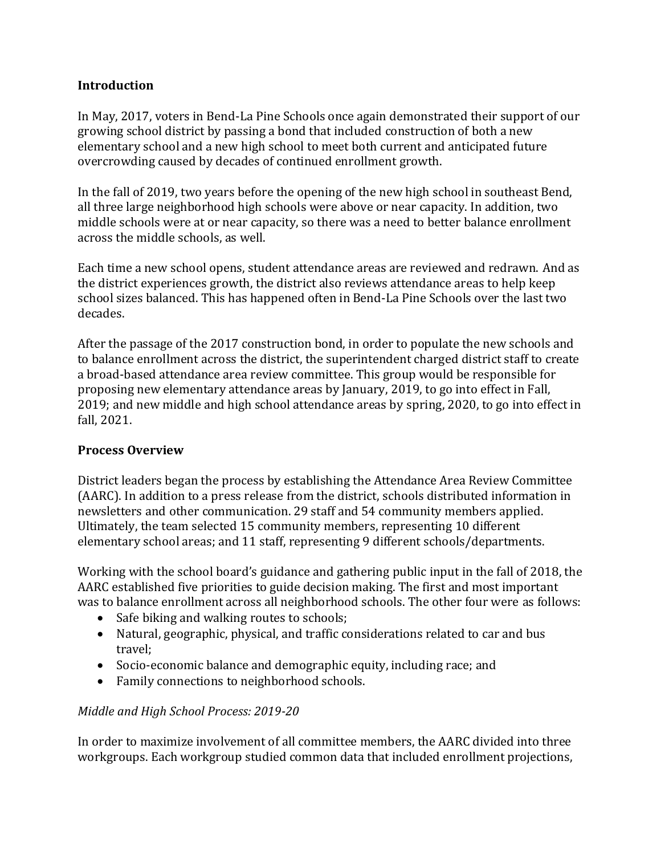## **Introduction**

In May, 2017, voters in Bend-La Pine Schools once again demonstrated their support of our growing school district by passing a bond that included construction of both a new elementary school and a new high school to meet both current and anticipated future overcrowding caused by decades of continued enrollment growth.

In the fall of 2019, two years before the opening of the new high school in southeast Bend, all three large neighborhood high schools were above or near capacity. In addition, two middle schools were at or near capacity, so there was a need to better balance enrollment across the middle schools, as well.

Each time a new school opens, student attendance areas are reviewed and redrawn. And as the district experiences growth, the district also reviews attendance areas to help keep school sizes balanced. This has happened often in Bend-La Pine Schools over the last two decades.

After the passage of the 2017 construction bond, in order to populate the new schools and to balance enrollment across the district, the superintendent charged district staff to create a broad-based attendance area review committee. This group would be responsible for proposing new elementary attendance areas by January, 2019, to go into effect in Fall, 2019; and new middle and high school attendance areas by spring, 2020, to go into effect in fall, 2021.

## **Process Overview**

District leaders began the process by establishing the Attendance Area Review Committee (AARC). In addition to a press release from the district, schools distributed information in newsletters and other communication. 29 staff and 54 community members applied. Ultimately, the team selected 15 community members, representing 10 different elementary school areas; and 11 staff, representing 9 different schools/departments.

Working with the school board's guidance and gathering public input in the fall of 2018, the AARC established five priorities to guide decision making. The first and most important was to balance enrollment across all neighborhood schools. The other four were as follows:

- Safe biking and walking routes to schools;
- Natural, geographic, physical, and traffic considerations related to car and bus travel;
- Socio-economic balance and demographic equity, including race; and
- Family connections to neighborhood schools.

## *Middle and High School Process: 2019-20*

In order to maximize involvement of all committee members, the AARC divided into three workgroups. Each workgroup studied common data that included enrollment projections,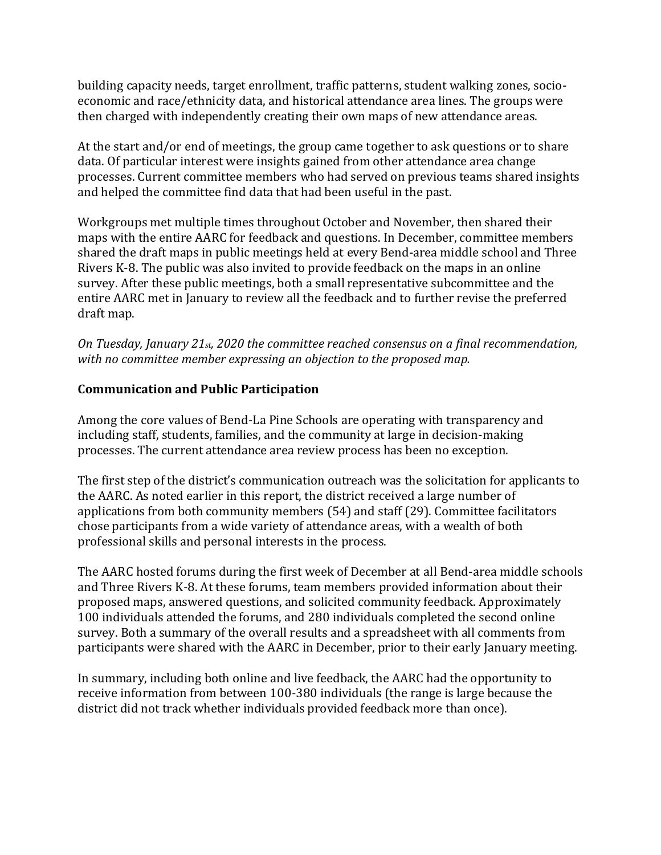building capacity needs, target enrollment, traffic patterns, student walking zones, socioeconomic and race/ethnicity data, and historical attendance area lines. The groups were then charged with independently creating their own maps of new attendance areas.

At the start and/or end of meetings, the group came together to ask questions or to share data. Of particular interest were insights gained from other attendance area change processes. Current committee members who had served on previous teams shared insights and helped the committee find data that had been useful in the past.

Workgroups met multiple times throughout October and November, then shared their maps with the entire AARC for feedback and questions. In December, committee members shared the draft maps in public meetings held at every Bend-area middle school and Three Rivers K-8. The public was also invited to provide feedback on the maps in an online survey. After these public meetings, both a small representative subcommittee and the entire AARC met in January to review all the feedback and to further revise the preferred draft map.

*On Tuesday, January 21st, 2020 the committee reached consensus on a final recommendation, with no committee member expressing an objection to the proposed map.* 

# **Communication and Public Participation**

Among the core values of Bend-La Pine Schools are operating with transparency and including staff, students, families, and the community at large in decision-making processes. The current attendance area review process has been no exception.

The first step of the district's communication outreach was the solicitation for applicants to the AARC. As noted earlier in this report, the district received a large number of applications from both community members (54) and staff (29). Committee facilitators chose participants from a wide variety of attendance areas, with a wealth of both professional skills and personal interests in the process.

The AARC hosted forums during the first week of December at all Bend-area middle schools and Three Rivers K-8. At these forums, team members provided information about their proposed maps, answered questions, and solicited community feedback. Approximately 100 individuals attended the forums, and 280 individuals completed the second online survey. Both a summary of the overall results and a spreadsheet with all comments from participants were shared with the AARC in December, prior to their early January meeting.

In summary, including both online and live feedback, the AARC had the opportunity to receive information from between 100-380 individuals (the range is large because the district did not track whether individuals provided feedback more than once).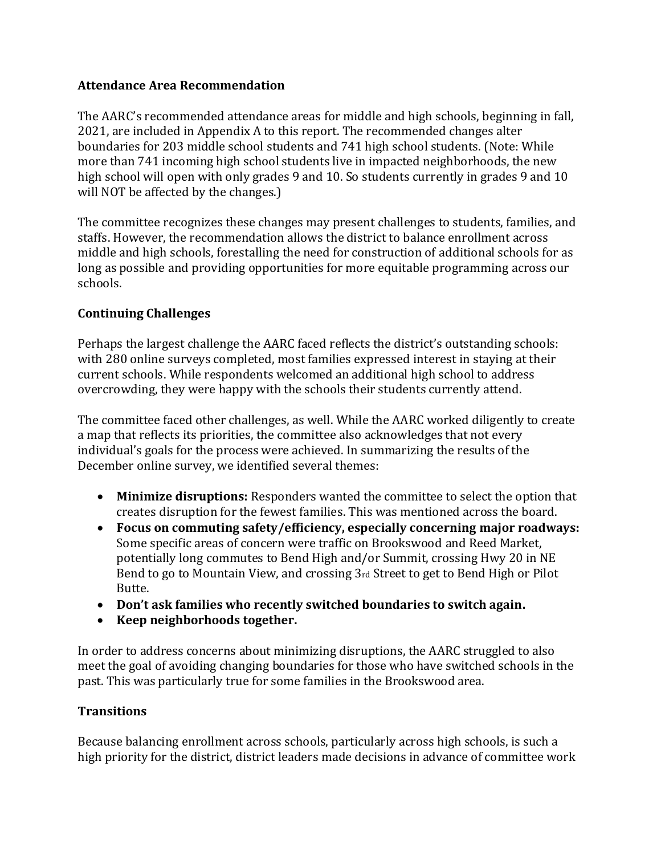## **Attendance Area Recommendation**

The AARC's recommended attendance areas for middle and high schools, beginning in fall, 2021, are included in Appendix A to this report. The recommended changes alter boundaries for 203 middle school students and 741 high school students. (Note: While more than 741 incoming high school students live in impacted neighborhoods, the new high school will open with only grades 9 and 10. So students currently in grades 9 and 10 will NOT be affected by the changes.)

The committee recognizes these changes may present challenges to students, families, and staffs. However, the recommendation allows the district to balance enrollment across middle and high schools, forestalling the need for construction of additional schools for as long as possible and providing opportunities for more equitable programming across our schools.

# **Continuing Challenges**

Perhaps the largest challenge the AARC faced reflects the district's outstanding schools: with 280 online surveys completed, most families expressed interest in staying at their current schools. While respondents welcomed an additional high school to address overcrowding, they were happy with the schools their students currently attend.

The committee faced other challenges, as well. While the AARC worked diligently to create a map that reflects its priorities, the committee also acknowledges that not every individual's goals for the process were achieved. In summarizing the results of the December online survey, we identified several themes:

- **Minimize disruptions:** Responders wanted the committee to select the option that creates disruption for the fewest families. This was mentioned across the board.
- **Focus on commuting safety/efficiency, especially concerning major roadways:** Some specific areas of concern were traffic on Brookswood and Reed Market, potentially long commutes to Bend High and/or Summit, crossing Hwy 20 in NE Bend to go to Mountain View, and crossing 3rd Street to get to Bend High or Pilot Butte.
- **Don't ask families who recently switched boundaries to switch again.**
- **Keep neighborhoods together.**

In order to address concerns about minimizing disruptions, the AARC struggled to also meet the goal of avoiding changing boundaries for those who have switched schools in the past. This was particularly true for some families in the Brookswood area.

# **Transitions**

Because balancing enrollment across schools, particularly across high schools, is such a high priority for the district, district leaders made decisions in advance of committee work